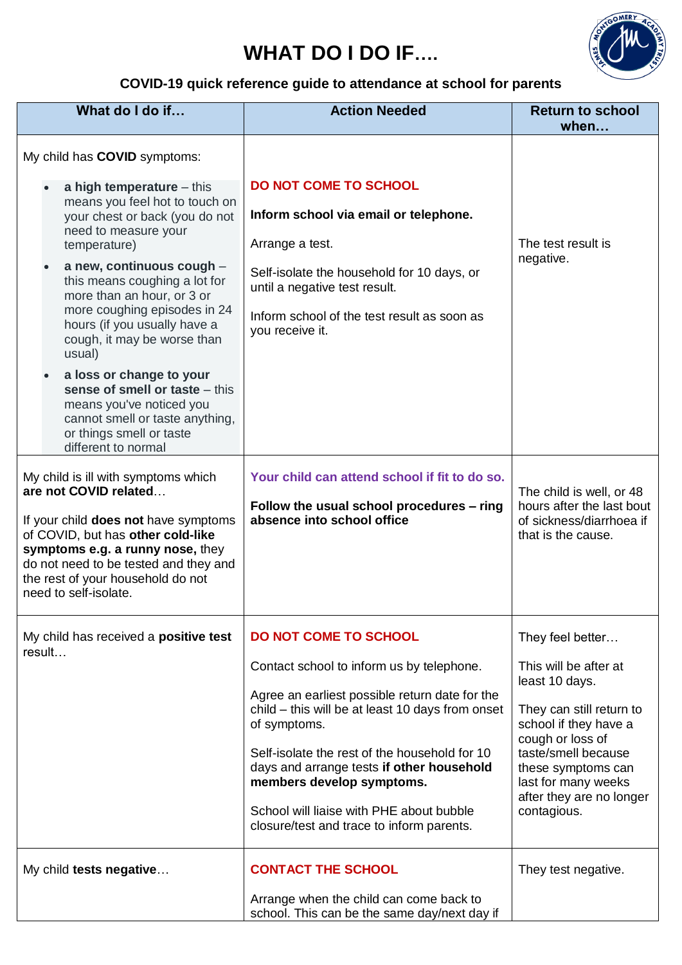## **WHAT DO I DO IF….**



## **COVID-19 quick reference guide to attendance at school for parents**

| What do I do if                                                                                                                                                                                                                                                                                                                              | <b>Action Needed</b>                                                                                                                                                                                                                                                                                                                                                                                                | <b>Return to school</b><br>when                                                                                                                                                                                                                     |
|----------------------------------------------------------------------------------------------------------------------------------------------------------------------------------------------------------------------------------------------------------------------------------------------------------------------------------------------|---------------------------------------------------------------------------------------------------------------------------------------------------------------------------------------------------------------------------------------------------------------------------------------------------------------------------------------------------------------------------------------------------------------------|-----------------------------------------------------------------------------------------------------------------------------------------------------------------------------------------------------------------------------------------------------|
| My child has COVID symptoms:                                                                                                                                                                                                                                                                                                                 |                                                                                                                                                                                                                                                                                                                                                                                                                     |                                                                                                                                                                                                                                                     |
| a high temperature $-$ this<br>means you feel hot to touch on<br>your chest or back (you do not<br>need to measure your<br>temperature)<br>a new, continuous cough -<br>this means coughing a lot for<br>more than an hour, or 3 or<br>more coughing episodes in 24<br>hours (if you usually have a<br>cough, it may be worse than<br>usual) | <b>DO NOT COME TO SCHOOL</b><br>Inform school via email or telephone.<br>Arrange a test.<br>Self-isolate the household for 10 days, or<br>until a negative test result.<br>Inform school of the test result as soon as<br>you receive it.                                                                                                                                                                           | The test result is<br>negative.                                                                                                                                                                                                                     |
| a loss or change to your<br>sense of smell or taste - this<br>means you've noticed you<br>cannot smell or taste anything,<br>or things smell or taste<br>different to normal                                                                                                                                                                 |                                                                                                                                                                                                                                                                                                                                                                                                                     |                                                                                                                                                                                                                                                     |
| My child is ill with symptoms which<br>are not COVID related<br>If your child does not have symptoms<br>of COVID, but has other cold-like<br>symptoms e.g. a runny nose, they<br>do not need to be tested and they and<br>the rest of your household do not<br>need to self-isolate.                                                         | Your child can attend school if fit to do so.<br>Follow the usual school procedures - ring<br>absence into school office                                                                                                                                                                                                                                                                                            | The child is well, or 48<br>hours after the last bout<br>of sickness/diarrhoea if<br>that is the cause.                                                                                                                                             |
| My child has received a <b>positive test</b><br>result                                                                                                                                                                                                                                                                                       | <b>DO NOT COME TO SCHOOL</b><br>Contact school to inform us by telephone.<br>Agree an earliest possible return date for the<br>child - this will be at least 10 days from onset<br>of symptoms.<br>Self-isolate the rest of the household for 10<br>days and arrange tests if other household<br>members develop symptoms.<br>School will liaise with PHE about bubble<br>closure/test and trace to inform parents. | They feel better<br>This will be after at<br>least 10 days.<br>They can still return to<br>school if they have a<br>cough or loss of<br>taste/smell because<br>these symptoms can<br>last for many weeks<br>after they are no longer<br>contagious. |
| My child tests negative                                                                                                                                                                                                                                                                                                                      | <b>CONTACT THE SCHOOL</b><br>Arrange when the child can come back to<br>school. This can be the same day/next day if                                                                                                                                                                                                                                                                                                | They test negative.                                                                                                                                                                                                                                 |